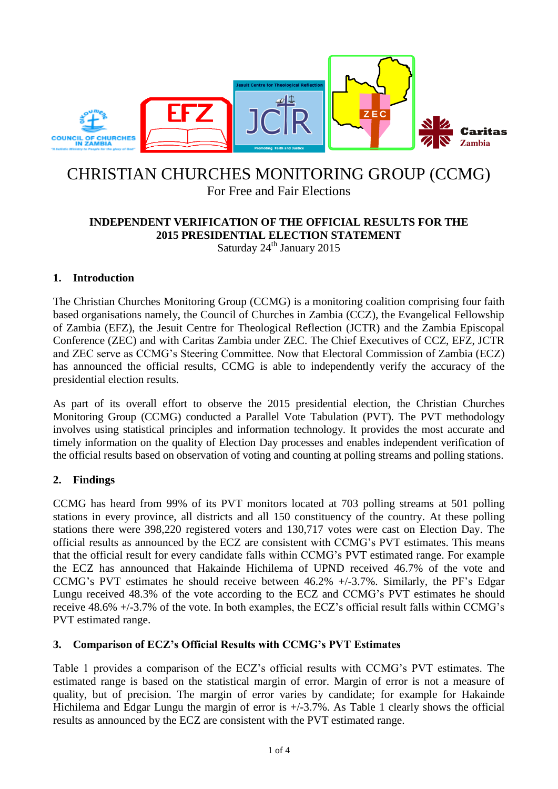

# CHRISTIAN CHURCHES MONITORING GROUP (CCMG) For Free and Fair Elections

# **INDEPENDENT VERIFICATION OF THE OFFICIAL RESULTS FOR THE**

**2015 PRESIDENTIAL ELECTION STATEMENT**

Saturday 24<sup>th</sup> January 2015

# **1. Introduction**

The Christian Churches Monitoring Group (CCMG) is a monitoring coalition comprising four faith based organisations namely, the Council of Churches in Zambia (CCZ), the Evangelical Fellowship of Zambia (EFZ), the Jesuit Centre for Theological Reflection (JCTR) and the Zambia Episcopal Conference (ZEC) and with Caritas Zambia under ZEC. The Chief Executives of CCZ, EFZ, JCTR and ZEC serve as CCMG's Steering Committee. Now that Electoral Commission of Zambia (ECZ) has announced the official results, CCMG is able to independently verify the accuracy of the presidential election results.

As part of its overall effort to observe the 2015 presidential election, the Christian Churches Monitoring Group (CCMG) conducted a Parallel Vote Tabulation (PVT). The PVT methodology involves using statistical principles and information technology. It provides the most accurate and timely information on the quality of Election Day processes and enables independent verification of the official results based on observation of voting and counting at polling streams and polling stations.

# **2. Findings**

CCMG has heard from 99% of its PVT monitors located at 703 polling streams at 501 polling stations in every province, all districts and all 150 constituency of the country. At these polling stations there were 398,220 registered voters and 130,717 votes were cast on Election Day. The official results as announced by the ECZ are consistent with CCMG's PVT estimates. This means that the official result for every candidate falls within CCMG's PVT estimated range. For example the ECZ has announced that Hakainde Hichilema of UPND received 46.7% of the vote and CCMG's PVT estimates he should receive between  $46.2\% +/-3.7\%$ . Similarly, the PF's Edgar Lungu received 48.3% of the vote according to the ECZ and CCMG's PVT estimates he should receive 48.6% +/-3.7% of the vote. In both examples, the ECZ's official result falls within CCMG's PVT estimated range.

## **3. Comparison of ECZ's Official Results with CCMG's PVT Estimates**

Table 1 provides a comparison of the ECZ's official results with CCMG's PVT estimates. The estimated range is based on the statistical margin of error. Margin of error is not a measure of quality, but of precision. The margin of error varies by candidate; for example for Hakainde Hichilema and Edgar Lungu the margin of error is +/-3.7%. As Table 1 clearly shows the official results as announced by the ECZ are consistent with the PVT estimated range.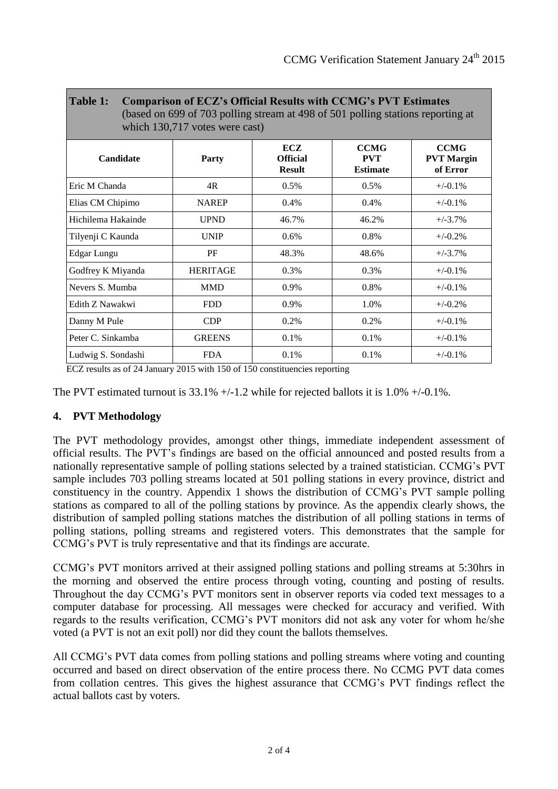| Table 1:<br><b>Comparison of ECZ's Official Results with CCMG's PVT Estimates</b><br>(based on 699 of 703 polling stream at 498 of 501 polling stations reporting at<br>which 130,717 votes were cast) |                 |                                         |                                              |                                              |  |  |  |  |  |  |  |
|--------------------------------------------------------------------------------------------------------------------------------------------------------------------------------------------------------|-----------------|-----------------------------------------|----------------------------------------------|----------------------------------------------|--|--|--|--|--|--|--|
| Candidate                                                                                                                                                                                              | <b>Party</b>    | ECZ<br><b>Official</b><br><b>Result</b> | <b>CCMG</b><br><b>PVT</b><br><b>Estimate</b> | <b>CCMG</b><br><b>PVT</b> Margin<br>of Error |  |  |  |  |  |  |  |
| Eric M Chanda                                                                                                                                                                                          | 4R              | $0.5\%$                                 | 0.5%                                         | $+/-0.1%$                                    |  |  |  |  |  |  |  |
| Elias CM Chipimo                                                                                                                                                                                       | <b>NAREP</b>    | $0.4\%$                                 | 0.4%                                         | $+/-0.1%$                                    |  |  |  |  |  |  |  |
| Hichilema Hakainde                                                                                                                                                                                     | <b>UPND</b>     | 46.7%                                   | 46.2%                                        | $+/-3.7%$                                    |  |  |  |  |  |  |  |
| Tilyenji C Kaunda                                                                                                                                                                                      | <b>UNIP</b>     | $0.6\%$                                 | 0.8%                                         | $+/-0.2%$                                    |  |  |  |  |  |  |  |
| Edgar Lungu                                                                                                                                                                                            | PF              | 48.3%                                   | 48.6%                                        | $+/-3.7%$                                    |  |  |  |  |  |  |  |
| Godfrey K Miyanda                                                                                                                                                                                      | <b>HERITAGE</b> | 0.3%                                    | $0.3\%$                                      | $+/-0.1\%$                                   |  |  |  |  |  |  |  |
| Nevers S. Mumba                                                                                                                                                                                        | <b>MMD</b>      | 0.9%                                    | 0.8%                                         | $+/-0.1%$                                    |  |  |  |  |  |  |  |
| Edith Z Nawakwi                                                                                                                                                                                        | <b>FDD</b>      | 0.9%                                    | 1.0%                                         | $+/-0.2%$                                    |  |  |  |  |  |  |  |
| Danny M Pule                                                                                                                                                                                           | CDP             | 0.2%<br>0.2%                            |                                              | $+/-0.1\%$                                   |  |  |  |  |  |  |  |
| Peter C. Sinkamba                                                                                                                                                                                      | <b>GREENS</b>   | 0.1%                                    | 0.1%                                         | $+/-0.1%$                                    |  |  |  |  |  |  |  |
| Ludwig S. Sondashi                                                                                                                                                                                     | <b>FDA</b>      | $0.1\%$                                 | 0.1%                                         | $+/-0.1%$                                    |  |  |  |  |  |  |  |

ECZ results as of 24 January 2015 with 150 of 150 constituencies reporting

The PVT estimated turnout is  $33.1\% +1.2$  while for rejected ballots it is  $1.0\% +1.0\%$ .

## **4. PVT Methodology**

The PVT methodology provides, amongst other things, immediate independent assessment of official results. The PVT's findings are based on the official announced and posted results from a nationally representative sample of polling stations selected by a trained statistician. CCMG's PVT sample includes 703 polling streams located at 501 polling stations in every province, district and constituency in the country. Appendix 1 shows the distribution of CCMG's PVT sample polling stations as compared to all of the polling stations by province. As the appendix clearly shows, the distribution of sampled polling stations matches the distribution of all polling stations in terms of polling stations, polling streams and registered voters. This demonstrates that the sample for CCMG's PVT is truly representative and that its findings are accurate.

CCMG's PVT monitors arrived at their assigned polling stations and polling streams at 5:30hrs in the morning and observed the entire process through voting, counting and posting of results. Throughout the day CCMG's PVT monitors sent in observer reports via coded text messages to a computer database for processing. All messages were checked for accuracy and verified. With regards to the results verification, CCMG's PVT monitors did not ask any voter for whom he/she voted (a PVT is not an exit poll) nor did they count the ballots themselves.

All CCMG's PVT data comes from polling stations and polling streams where voting and counting occurred and based on direct observation of the entire process there. No CCMG PVT data comes from collation centres. This gives the highest assurance that CCMG's PVT findings reflect the actual ballots cast by voters.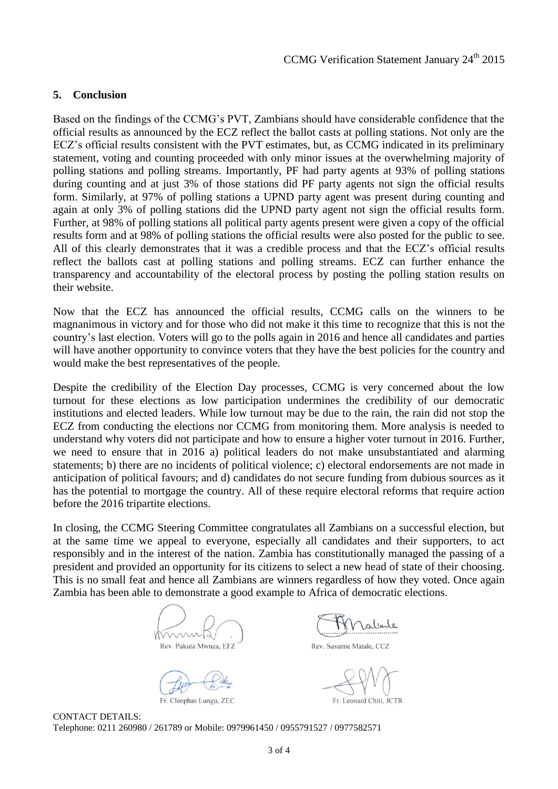#### **5. Conclusion**

Based on the findings of the CCMG's PVT, Zambians should have considerable confidence that the official results as announced by the ECZ reflect the ballot casts at polling stations. Not only are the ECZ's official results consistent with the PVT estimates, but, as CCMG indicated in its preliminary statement, voting and counting proceeded with only minor issues at the overwhelming majority of polling stations and polling streams. Importantly, PF had party agents at 93% of polling stations during counting and at just 3% of those stations did PF party agents not sign the official results form. Similarly, at 97% of polling stations a UPND party agent was present during counting and again at only 3% of polling stations did the UPND party agent not sign the official results form. Further, at 98% of polling stations all political party agents present were given a copy of the official results form and at 98% of polling stations the official results were also posted for the public to see. All of this clearly demonstrates that it was a credible process and that the ECZ's official results reflect the ballots cast at polling stations and polling streams. ECZ can further enhance the transparency and accountability of the electoral process by posting the polling station results on their website.

Now that the ECZ has announced the official results, CCMG calls on the winners to be magnanimous in victory and for those who did not make it this time to recognize that this is not the country's last election. Voters will go to the polls again in 2016 and hence all candidates and parties will have another opportunity to convince voters that they have the best policies for the country and would make the best representatives of the people.

Despite the credibility of the Election Day processes, CCMG is very concerned about the low turnout for these elections as low participation undermines the credibility of our democratic institutions and elected leaders. While low turnout may be due to the rain, the rain did not stop the ECZ from conducting the elections nor CCMG from monitoring them. More analysis is needed to understand why voters did not participate and how to ensure a higher voter turnout in 2016. Further, we need to ensure that in 2016 a) political leaders do not make unsubstantiated and alarming statements; b) there are no incidents of political violence; c) electoral endorsements are not made in anticipation of political favours; and d) candidates do not secure funding from dubious sources as it has the potential to mortgage the country. All of these require electoral reforms that require action before the 2016 tripartite elections.

In closing, the CCMG Steering Committee congratulates all Zambians on a successful election, but at the same time we appeal to everyone, especially all candidates and their supporters, to act responsibly and in the interest of the nation. Zambia has constitutionally managed the passing of a president and provided an opportunity for its citizens to select a new head of state of their choosing. This is no small feat and hence all Zambians are winners regardless of how they voted. Once again Zambia has been able to demonstrate a good example to Africa of democratic elections.

Rev. Pukuta Mwnza, EFZ

Fr. Cleophas Lungu, ZEC

*<u>Ialiale</u>* 

Rev. Susanne Matale, CCZ

Fr. Leonard Chiti, JCTR

CONTACT DETAILS: Telephone: 0211 260980 / 261789 or Mobile: 0979961450 / 0955791527 / 0977582571